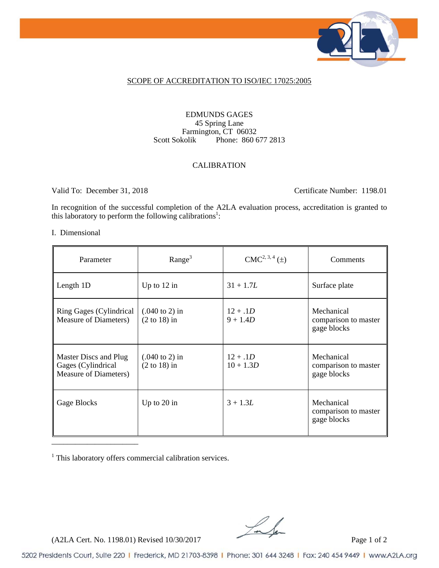

#### SCOPE OF ACCREDITATION TO ISO/IEC 17025:2005

#### EDMUNDS GAGES 45 Spring Lane Farmington, CT 06032<br>Scott Sokolik Phone: 860 6 Phone: 860 677 2813

#### CALIBRATION

Valid To: December 31, 2018 Certificate Number: 1198.01

In recognition of the successful completion of the A2LA evaluation process, accreditation is granted to this laboratory to perform the following calibrations<sup>1</sup>:

#### I. Dimensional

| Parameter                                                            | Range <sup>3</sup>                                  | $CMC2, 3, 4 (\pm)$        | Comments                                          |
|----------------------------------------------------------------------|-----------------------------------------------------|---------------------------|---------------------------------------------------|
| Length 1D                                                            | Up to $12$ in                                       | $31 + 1.7L$               | Surface plate                                     |
| Ring Gages (Cylindrical<br>Measure of Diameters)                     | $(.040 \text{ to } 2) \text{ in}$<br>$(2 to 18)$ in | $12 + .1D$<br>$9 + 1.4D$  | Mechanical<br>comparison to master<br>gage blocks |
| Master Discs and Plug<br>Gages (Cylindrical<br>Measure of Diameters) | $(.040 \text{ to } 2) \text{ in}$<br>$(2 to 18)$ in | $12 + .1D$<br>$10 + 1.3D$ | Mechanical<br>comparison to master<br>gage blocks |
| Gage Blocks                                                          | Up to $20$ in                                       | $3 + 1.3L$                | Mechanical<br>comparison to master<br>gage blocks |

<sup>1</sup> This laboratory offers commercial calibration services.

 $(A2LA$  Cert. No. 1198.01) Revised 10/30/2017 Page 1 of 2

5202 Presidents Court, Suite 220 | Frederick, MD 21703-8398 | Phone: 301 644 3248 | Fax: 240 454 9449 | www.A2LA.org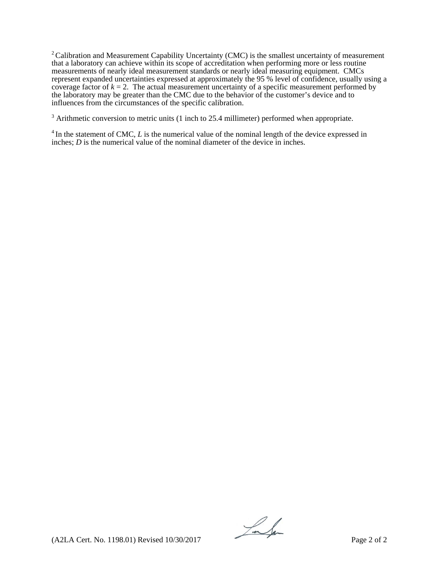$2$  Calibration and Measurement Capability Uncertainty (CMC) is the smallest uncertainty of measurement that a laboratory can achieve within its scope of accreditation when performing more or less routine measurements of nearly ideal measurement standards or nearly ideal measuring equipment. CMCs represent expanded uncertainties expressed at approximately the 95 % level of confidence, usually using a coverage factor of  $k = 2$ . The actual measurement uncertainty of a specific measurement performed by the laboratory may be greater than the CMC due to the behavior of the customer's device and to influences from the circumstances of the specific calibration.

 $3$  Arithmetic conversion to metric units (1 inch to 25.4 millimeter) performed when appropriate.

<sup>4</sup> In the statement of CMC, *L* is the numerical value of the nominal length of the device expressed in inches; *D* is the numerical value of the nominal diameter of the device in inches.

Lalen